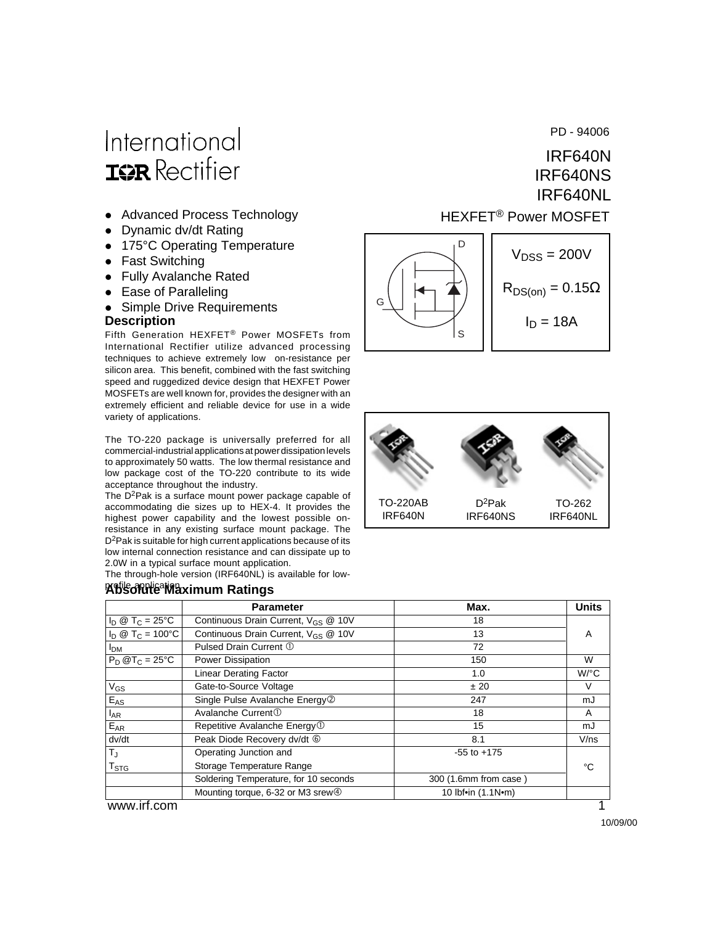# International **ISPR** Rectifier

- Advanced Process Technology
- Dynamic dv/dt Rating
- 175°C Operating Temperature
- Fast Switching
- Fully Avalanche Rated
- Ease of Paralleling

• Simple Drive Requirements

#### **Description**

Fifth Generation HEXFET® Power MOSFETs from International Rectifier utilize advanced processing techniques to achieve extremely low on-resistance per silicon area. This benefit, combined with the fast switching speed and ruggedized device design that HEXFET Power MOSFETs are well known for, provides the designer with an extremely efficient and reliable device for use in a wide variety of applications.

The TO-220 package is universally preferred for all commercial-industrial applications at power dissipation levels to approximately 50 watts. The low thermal resistance and low package cost of the TO-220 contribute to its wide acceptance throughout the industry.

The  $D^2$ Pak is a surface mount power package capable of accommodating die sizes up to HEX-4. It provides the highest power capability and the lowest possible onresistance in any existing surface mount package. The D<sup>2</sup>Pak is suitable for high current applications because of its low internal connection resistance and can dissipate up to 2.0W in a typical surface mount application.

The through-hole version (IRF640NL) is available for low-

#### **Abs***o***lute Ma**ximum Ratings

PD - 94006

#### HEXFET® Power MOSFET IRF640N IRF640NS IRF640NL

 $V<sub>DSS</sub> = 200V$  $R_{DS(on)} = 0.15\Omega$ D G

S





|                          | <b>Parameter</b>                                | Max.                  | <b>Units</b> |  |
|--------------------------|-------------------------------------------------|-----------------------|--------------|--|
| $I_D @ T_C = 25°C$       | Continuous Drain Current, V <sub>GS</sub> @ 10V | 18                    |              |  |
| $I_D @ T_C = 100°C$      | Continuous Drain Current, V <sub>GS</sub> @ 10V | 13                    | A            |  |
| <b>I</b> <sub>DM</sub>   | Pulsed Drain Current 1                          | 72                    |              |  |
| $P_D @T_C = 25^{\circ}C$ | Power Dissipation                               | 150                   | W            |  |
|                          | <b>Linear Derating Factor</b>                   | 1.0                   | W/°C         |  |
| $V_{GS}$                 | Gate-to-Source Voltage                          | ± 20                  | V            |  |
| $E_{AS}$                 | Single Pulse Avalanche Energy <sup>2</sup>      | 247                   | mJ           |  |
| <b>LAR</b>               | Avalanche Current <sup>①</sup>                  | 18                    | A            |  |
| $E_{AR}$                 | Repetitive Avalanche Energy <sup>1</sup>        | 15                    | mJ           |  |
| dv/dt                    | Peak Diode Recovery dv/dt 6                     | 8.1                   | V/ns         |  |
| $T_{\rm J}$              | Operating Junction and                          | $-55$ to $+175$       |              |  |
| $T_{\rm STG}$            | Storage Temperature Range                       |                       | °C           |  |
|                          | Soldering Temperature, for 10 seconds           | 300 (1.6mm from case) |              |  |
|                          | Mounting torque, 6-32 or M3 srew $\circled{4}$  | 10 lbf•in (1.1N•m)    |              |  |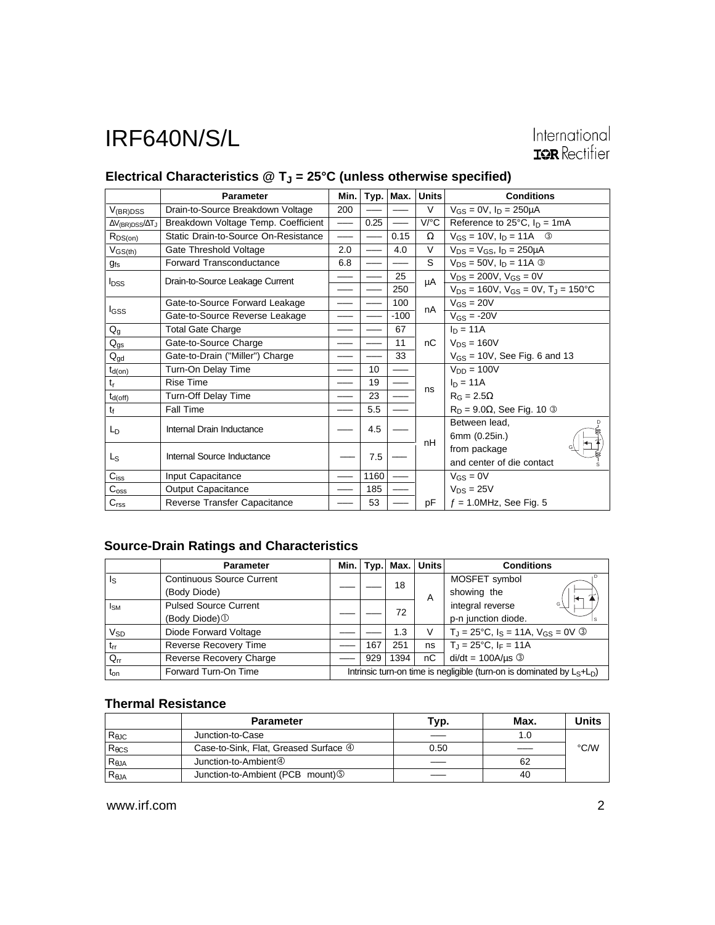### Electrical Characteristics @ T<sub>J</sub> = 25°C (unless otherwise specified)

|                                        | <b>Parameter</b>                     | Min.                     | Typ. | Max.   | <b>Units</b> | <b>Conditions</b>                                      |  |
|----------------------------------------|--------------------------------------|--------------------------|------|--------|--------------|--------------------------------------------------------|--|
| $V_{(BR)DSS}$                          | Drain-to-Source Breakdown Voltage    | 200                      |      |        | V            | $V_{GS} = 0V$ , $I_D = 250 \mu A$                      |  |
| $\Delta V_{\text{(BR)DSS}}/\Delta T_J$ | Breakdown Voltage Temp. Coefficient  | $\overline{\phantom{0}}$ | 0.25 |        | V/°C         | Reference to $25^{\circ}$ C, $I_D = 1 \text{mA}$       |  |
| $R_{DS(on)}$                           | Static Drain-to-Source On-Resistance | $\overline{\phantom{0}}$ |      | 0.15   | Ω            | $V_{GS} = 10V$ , $I_D = 11A$ 3                         |  |
| $V_{GS(th)}$                           | Gate Threshold Voltage               | 2.0                      |      | 4.0    | $\vee$       | $V_{DS} = V_{GS}$ , $I_D = 250 \mu A$                  |  |
| g <sub>fs</sub>                        | Forward Transconductance             | 6.8                      |      |        | S            | $V_{DS} = 50V$ , $I_D = 11A$ 3                         |  |
| <b>I</b> <sub>DSS</sub>                | Drain-to-Source Leakage Current      |                          |      | 25     | μA           | $V_{DS} = 200V$ , $V_{GS} = 0V$                        |  |
|                                        |                                      |                          |      | 250    |              | $V_{DS}$ = 160V, $V_{GS}$ = 0V, T <sub>J</sub> = 150°C |  |
|                                        | Gate-to-Source Forward Leakage       |                          |      | 100    | nA           | $V_{GS} = 20V$                                         |  |
| I <sub>GSS</sub>                       | Gate-to-Source Reverse Leakage       |                          |      | $-100$ |              | $V_{GS} = -20V$                                        |  |
| $Q_g$                                  | <b>Total Gate Charge</b>             |                          |      | 67     |              | $I_D = 11A$                                            |  |
| $Q_{gs}$                               | Gate-to-Source Charge                |                          |      | 11     | nC           | $V_{DS}$ = 160V                                        |  |
| $Q_{gd}$                               | Gate-to-Drain ("Miller") Charge      |                          |      | 33     |              | $V_{GS}$ = 10V, See Fig. 6 and 13                      |  |
| $t_{d(on)}$                            | Turn-On Delay Time                   |                          | 10   |        |              | $V_{DD} = 100V$                                        |  |
| $t_{r}$                                | <b>Rise Time</b>                     |                          | 19   |        | ns           | $I_D = 11A$                                            |  |
| $t_{d(off)}$                           | Turn-Off Delay Time                  |                          | 23   |        |              | $R_G = 2.5\Omega$                                      |  |
| tf                                     | Fall Time                            |                          | 5.5  |        |              | $R_D = 9.0\Omega$ , See Fig. 10 $\circled{}$           |  |
| L <sub>D</sub>                         | Internal Drain Inductance            |                          | 4.5  |        | nH           | Between lead.                                          |  |
|                                        |                                      |                          |      |        |              | 6mm (0.25in.)                                          |  |
| L <sub>S</sub>                         | Internal Source Inductance           |                          | 7.5  |        |              | from package                                           |  |
|                                        |                                      |                          |      |        |              | and center of die contact                              |  |
| $C_{iss}$                              | Input Capacitance                    |                          | 1160 |        |              | $V_{GS} = 0V$                                          |  |
| $C_{\rm oss}$                          | <b>Output Capacitance</b>            |                          | 185  |        |              | $V_{DS} = 25V$                                         |  |
| C <sub>rss</sub>                       | Reverse Transfer Capacitance         |                          | 53   |        | pF           | $f = 1.0$ MHz, See Fig. 5                              |  |

#### **Source-Drain Ratings and Characteristics**

|                       | <b>Parameter</b>                 | Min. l                                                                    | Typ. | Max. | <b>Units</b> | <b>Conditions</b>                                          |  |
|-----------------------|----------------------------------|---------------------------------------------------------------------------|------|------|--------------|------------------------------------------------------------|--|
| ls                    | <b>Continuous Source Current</b> |                                                                           |      | 18   |              | MOSFET symbol                                              |  |
|                       | (Body Diode)                     |                                                                           |      |      | A            | showing the                                                |  |
| <b>I<sub>SM</sub></b> | <b>Pulsed Source Current</b>     |                                                                           |      | 72   |              | integral reverse<br>G                                      |  |
|                       | (Body Diode) <sup>1</sup>        |                                                                           |      |      |              | p-n junction diode.                                        |  |
| $V_{SD}$              | Diode Forward Voltage            |                                                                           |      | 1.3  | V            | $T_{\rm J}$ = 25°C, $I_{\rm S}$ = 11A, $V_{\rm GS}$ = 0V ③ |  |
| $t_{rr}$              | <b>Reverse Recovery Time</b>     |                                                                           | 167  | 251  | ns           | $T_{\rm J} = 25^{\circ}$ C, I <sub>F</sub> = 11A           |  |
| $Q_{rr}$              | Reverse Recovery Charge          |                                                                           | 929  | 1394 | nC           | $di/dt = 100A/\mu s$ 3                                     |  |
| $t_{on}$              | Forward Turn-On Time             | Intrinsic turn-on time is negligible (turn-on is dominated by $L_S+L_D$ ) |      |      |              |                                                            |  |

#### **Thermal Resistance**

|                 | <b>Parameter</b>                               | Typ. | Max. | <b>Units</b> |
|-----------------|------------------------------------------------|------|------|--------------|
| $R_{\theta$ JC  | Junction-to-Case                               |      |      |              |
| $R_{\theta CS}$ | Case-to-Sink, Flat, Greased Surface 4          | 0.50 |      | °C/W         |
| $R_{\theta$ JA  | Junction-to-Ambient <sup>4</sup>               |      | 62   |              |
| $R_{\theta$ JA  | Junction-to-Ambient (PCB mount) <sup>(5)</sup> |      | 40   |              |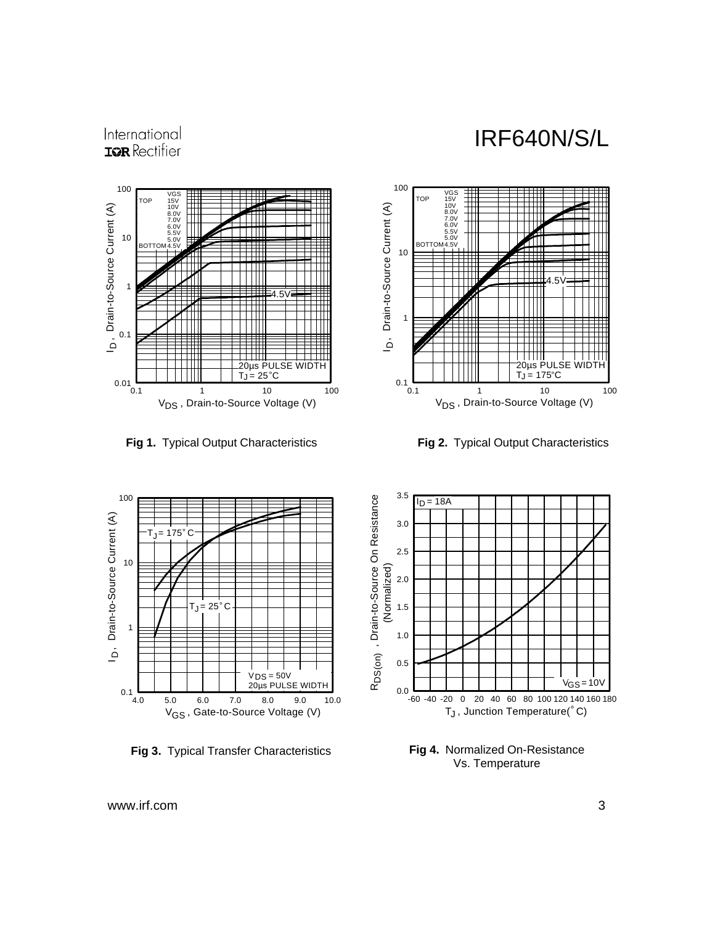

International **IOR** Rectifier

**Fig 1.** Typical Output Characteristics **Fig 2.** Typical Output Characteristics





**Fig 3.** Typical Transfer Characteristics



**Fig 4.** Normalized On-Resistance Vs. Temperature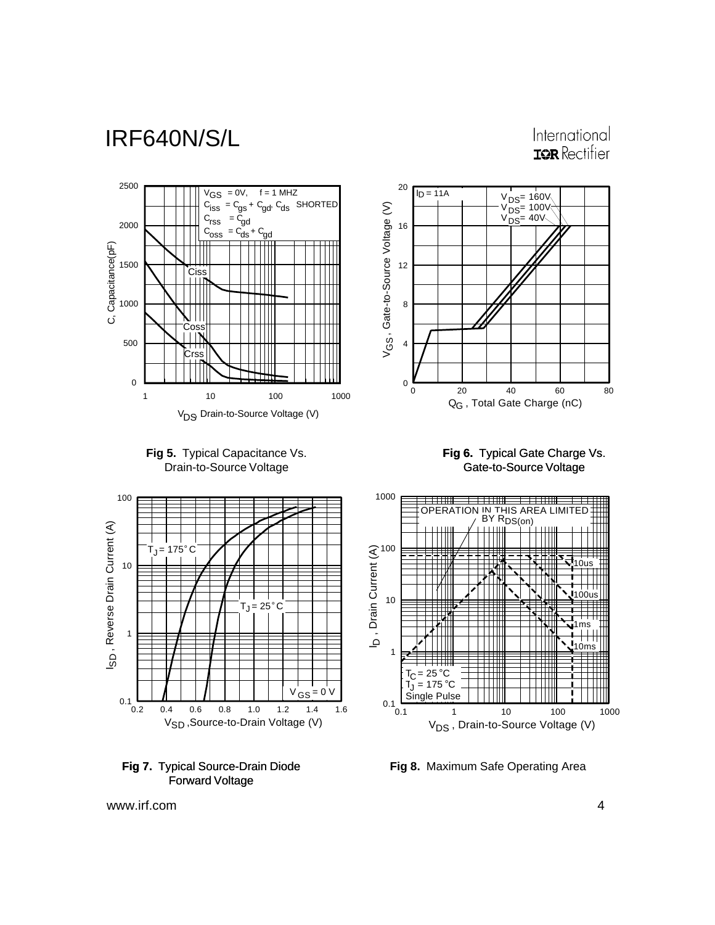International **IOR** Rectifier









**Fig 6.** Typical Gate Charge Vs. Gate-to-Source Voltage

0 20 40 60 80

 $I_D = 11A$ 

Q<sub>G</sub> , Total Gate Charge (nC)

 $V_{DS} = 40V$  $V_{DS}$ = 100 $V$  $V_{DS}$ = 160V



**Fig 8.** Maximum Safe Operating Area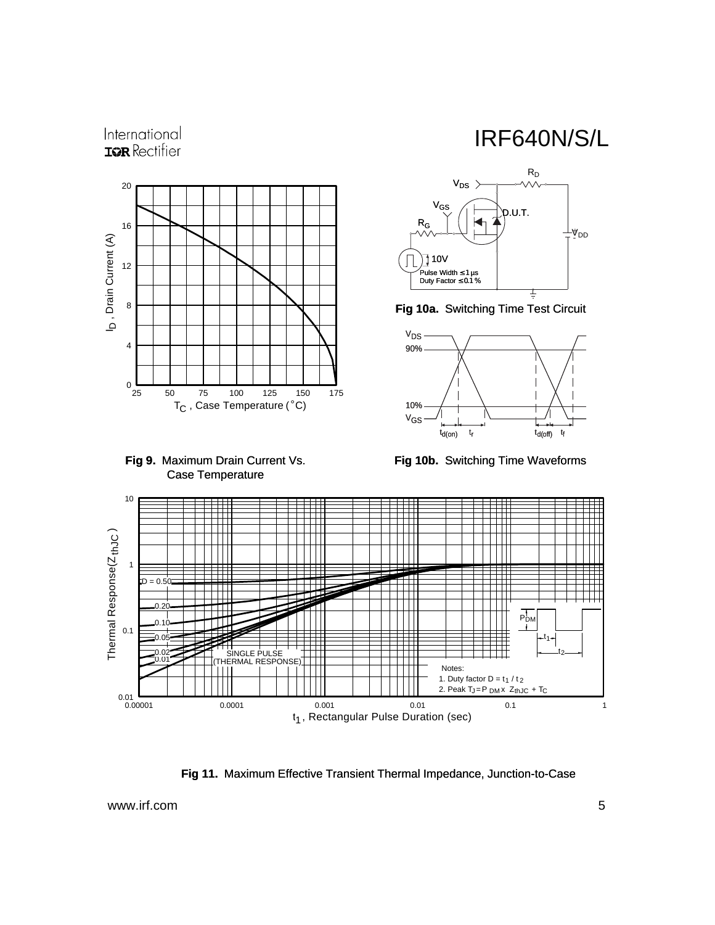



IRF640N/S/L



**Fig 10a.** Switching Time Test Circuit



**Fig 10b.** Switching Time Waveforms



**Fig 11.** Maximum Effective Transient Thermal Impedance, Junction-to-Case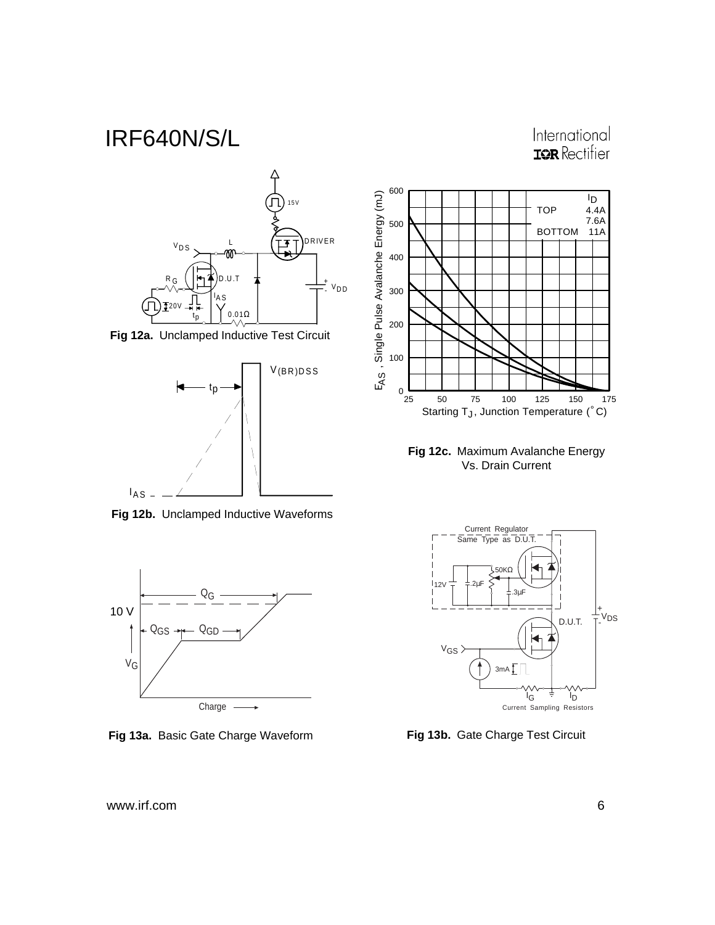



**Fig 12a.** Unclamped Inductive Test Circuit



**Fig 12b.** Unclamped Inductive Waveforms



**Fig 13a.** Basic Gate Charge Waveform **Fig 13b.** Gate Charge Test Circuit



**Fig 12c.** Maximum Avalanche Energy Vs. Drain Current

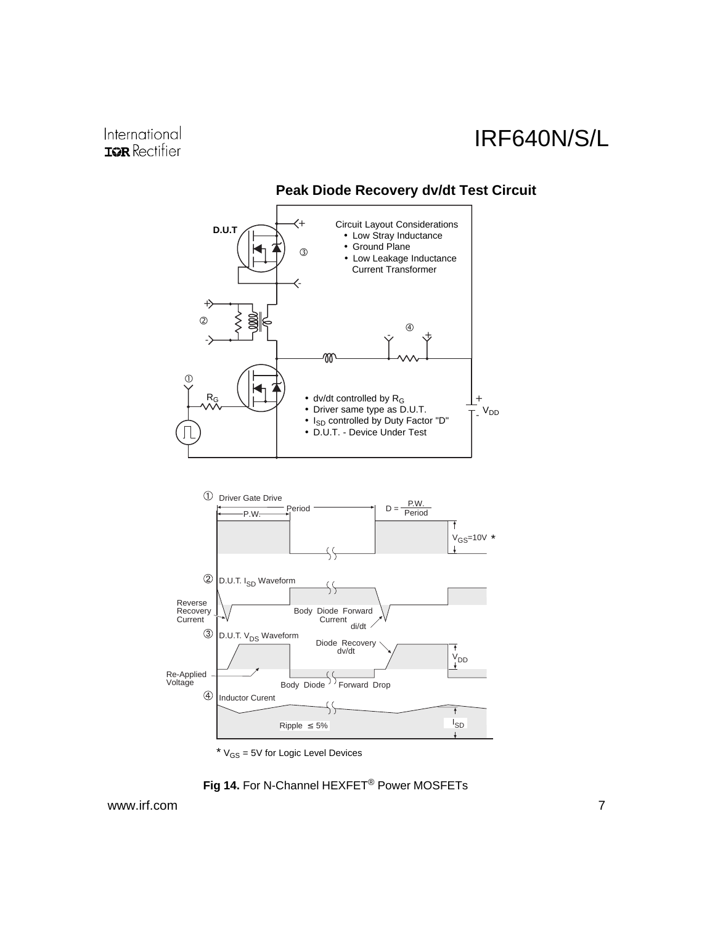

#### **Peak Diode Recovery dv/dt Test Circuit**

 $*$  V<sub>GS</sub> = 5V for Logic Level Devices

**Fig 14.** For N-Channel HEXFET® Power MOSFETs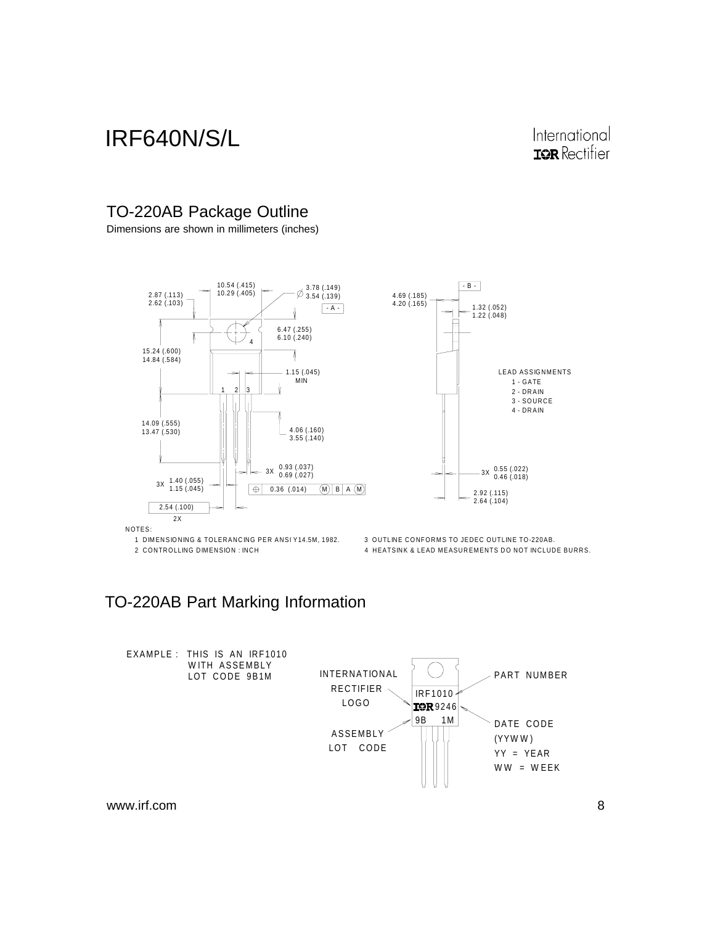### International **IOR** Rectifier

#### TO-220AB Package Outline

Dimensions are shown in millimeters (inches)





NOTES:

1 DIMENSIONING & TOLERANCING PER ANSI Y14.5M, 1982. 3 OUTLINE CONFORMS TO JEDEC OUTLINE TO-220AB.

2 CONTROLLING DIMENSION : INCH FACTOR AND THE 4 HEATSINK & LEAD MEASUREMENTS DO NOT INCLUDE BURRS.

### TO-220AB Part Marking Information

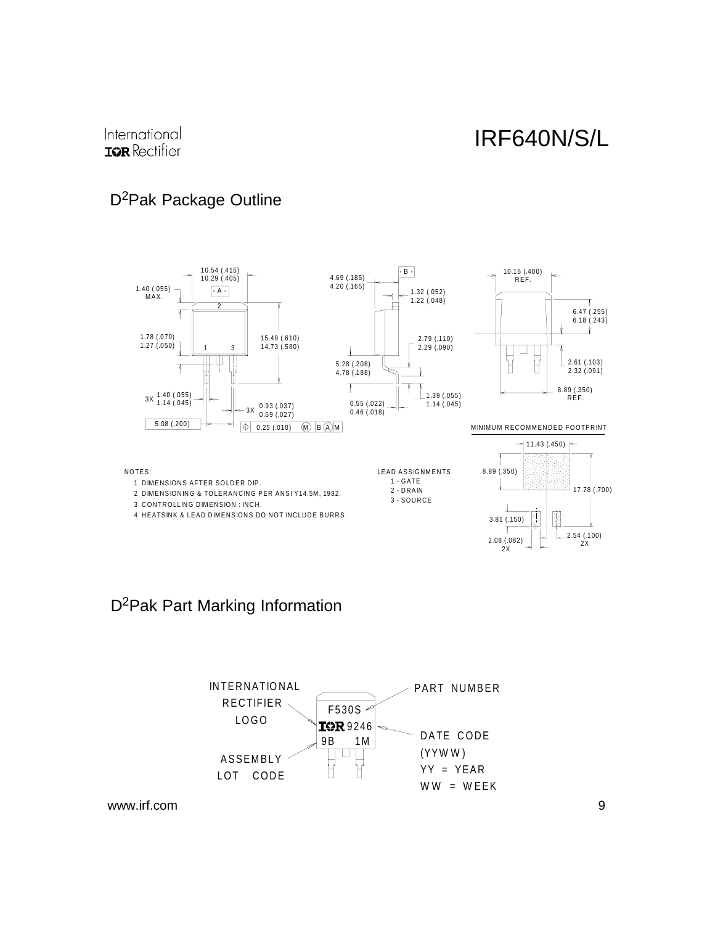### D<sup>2</sup>Pak Package Outline



#### D2Pak Part Marking Information

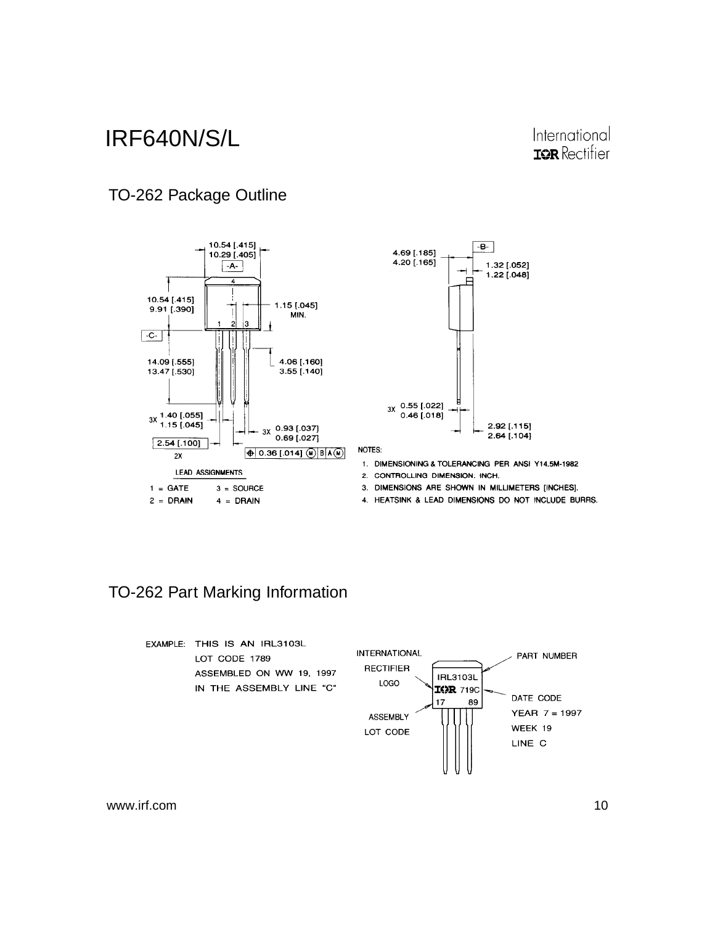### International **IOR** Rectifier

### TO-262 Package Outline





NOTES:

- 1. DIMENSIONING & TOLERANCING PER ANSI Y14.5M-1982
- 2. CONTROLLING DIMENSION: INCH.
- 3. DIMENSIONS ARE SHOWN IN MILLIMETERS [INCHES].
- 4. HEATSINK & LEAD DIMENSIONS DO NOT INCLUDE BURRS.

### TO-262 Part Marking Information